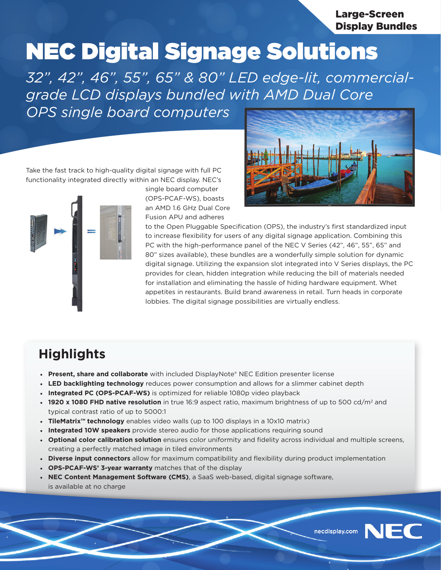Large-Screen Display Bundles

# NEC Digital Signage Solutions

*32", 42", 46", 55", 65" & 80" LED edge-lit, commercialgrade LCD displays bundled with AMD Dual Core OPS single board computers*

Take the fast track to high-quality digital signage with full PC functionality integrated directly within an NEC display. NEC's



single board computer (OPS-PCAF-WS), boasts an AMD 1.6 GHz Dual Core Fusion APU and adheres



to the Open Pluggable Specification (OPS), the industry's first standardized input to increase flexibility for users of any digital signage application. Combining this PC with the high-performance panel of the NEC V Series (42", 46", 55", 65" and 80" sizes available), these bundles are a wonderfully simple solution for dynamic digital signage. Utilizing the expansion slot integrated into V Series displays, the PC provides for clean, hidden integration while reducing the bill of materials needed for installation and eliminating the hassle of hiding hardware equipment. Whet appetites in restaurants. Build brand awareness in retail. Turn heads in corporate lobbies. The digital signage possibilities are virtually endless.

## **Highlights**

- **• Present, share and collaborate** with included DisplayNote® NEC Edition presenter license
- **• LED backlighting technology** reduces power consumption and allows for a slimmer cabinet depth
- **• Integrated PC (OPS-PCAF-WS)** is optimized for reliable 1080p video playback
- **1920 x 1080 FHD native resolution** in true 16:9 aspect ratio, maximum brightness of up to 500 cd/m<sup>2</sup> and typical contrast ratio of up to 5000:1
- **• TileMatrix™ technology** enables video walls (up to 100 displays in a 10x10 matrix)
- **• Integrated 10W speakers** provide stereo audio for those applications requiring sound
- **• Optional color calibration solution** ensures color uniformity and fidelity across individual and multiple screens, creating a perfectly matched image in tiled environments
- **• Diverse input connectors** allow for maximum compatibility and flexibility during product implementation
- **• OPS-PCAF-WS' 3-year warranty** matches that of the display
- **• NEC Content Management Software (CMS)**, a SaaS web-based, digital signage software, is available at no charge



**JEC**